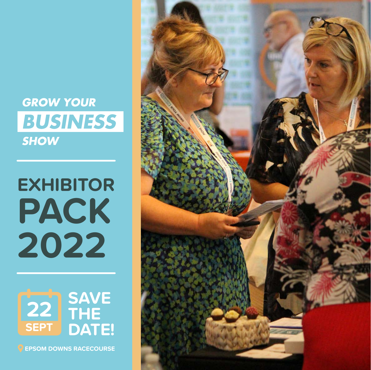# **GROW YOUR BUSINESS SHOW**

# **EXHIBITOR PACK 2022**



**EPSOM DOWNS RACECOURSE**

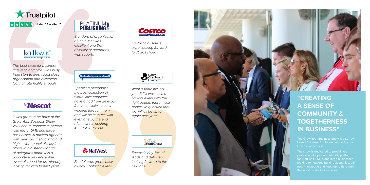



*Footfall was great, busy all day. Fantastic event!*

& NatWest

*What a fantastic job* 



Surrey<br>Chambers of<br>Commerce

*brilliant event with the right people there - well done!! No question that we will all be up for it again next year.*



*Speaking personally the best collection of worthwhile enquiries I have a had from an expo for some while, so now working through them and will be in touch with everyone by the end of the week. hashtag #GYBSUK Rocks!!*

> *Fantastic day, lots of leads and definitely looking forward to the next one.*



*It was great to be back at the Grow Your Business Show 2021 and re-connect in person with micro, SME and large businesses. A packed agenda with seminars, networking and high calibre panel discussions along with a steady footfall of delegates made this a productive and enjoyable event all round for us. Already looking forward to next year!*



*Standard of organisation of the event was excellent and the diversity of attendees was superb.*

| <b>iebestofepsomandewell</b> |  |
|------------------------------|--|
|                              |  |

*The best expo for business in a very long time. Was busy from start to finish. First class organisation and execution. Cannot rate highly enough.*

# **Nescot**

*Fantastic business expo, looking forward*

**COSTCO** 

*to 2020s show.*

**"CREATING A SENSE OF COMMUNITY & TOGETHERNESS IN BUSINESS"**

based Business Exhibition held at Epsom Downs Racecourse.

professional, open and friendly platform for Start-ups, SME's and large businesses looking to network, build relationships, gain new knowledge and keep up to date with the latest products & services.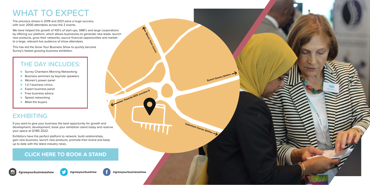# WHAT TO EXPECT

The previous shows in 2019 and 2021 were a huge success, with over 2000 attendees across the 2 events.

# EXHIBITING

We have helped the growth of 100's of start-ups, SME's and large corporations by offering our platform, which allows businesses to generate new leads, launch new products, grow their networks, source financial opportunities and market to a large, relevant live audience of show attendees.

This has led the Grow Your Business Show to quickly become Surrey's fastest growing business exhibition.

If you want to give your business the best opportunity for growth and development, development, book your exhibition stand today and reserve your space at GYBS 2022.

Exhibitors have the perfect platform to network, build relationships, gain new business, launch new products, promote their brand and keep up to date with the latest industry news.

**Towards M25 Junction 9**

Epsom Town Centre

Tattenham Corner Station

**Epsom Downs Station >>** 









## **[CLICK HERE TO BOOK A STAND](https://www.growyourbusinessshow.co.uk/)**



# THE DAY INCLUDES:

- **Surrey Chambers Morning Networking**
- Business seminars by keynote speakers  $\bullet$
- **Women's power panel**
- **1-2-1 business clinics**
- Expert business panel  $\bullet$
- **•** Free business advice
- **Speed networking**
- **Meet the buyers**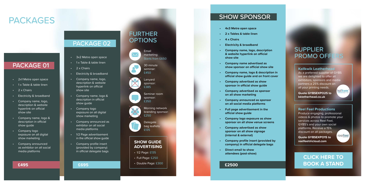- 2x1 Metre open space
- 1 x Table & table linen
- $\cdot$  2 x Chairs
- Electricity & broadband
- Company name, logo, description & website hyperlink on official show site
- Company name, logo & description in official show guide
- Company logo exposure on all digital show marketing
- Company announced as exhibitor on all social media platforms

### FURTHER **OPTIONS**

- 3x2 Metre open space
- 1 x Table & table linen
- $\overline{\cdot}$  2 x Chairs
- Electricity & broadband
- Company name, logo, description & website hyperlink on official show site
- Company name, logo & description in official show guide
- Company logo exposure on all digital show marketing
- Company announced as exhibitor on all social media platforms
- 1/2 Page advertisement in the official show guide
- Company profile insert (provided by company) in official delegate bags

#### **£495**

# **PACKAGES**

### PACKAGE 01

### PACKAGE 02

#### **£695**

#### **SHOW GUIDE ADVERTISING**

As a preferred supplier of GYBS we are delighted to offer all exhibitors, sponsors and media partners a 25% discount on all your printing needs. kallkwik<sup>®</sup>

- 1/2 Page: £135
- Full Page: £250
- Double Page: £300

Produce engaging, professional [videos & photos to promote your](mailto:reelfeel%40icloud.com?subject=GYBSEXPO15)  services across Reel Feel, GYBS's and your own social platforms. Receive a 15% discount on all packages. reelfeel

30 minute seminar:  $f450$ 

**Delegate** bag leaflets: £135

- **• 4x3 Metre open space**
- **• 2 x Tables & table linen**
- **• 4 x Chairs**
- **• Electricity & broadband**
- **• Company name, logo, description & website hyperlink on official show site**
- **• Company name advertised as show sponsor on official show site**
- **• Company name, logo & description in official show guide and on front cover**
- **• Company advertised as show sponsor in official show guide**
- **• Company advertised as sponsor on all show marketing**
- **• Company announced as sponsor on all social media platforms**
- **• Full page advertisement in the official show guide**
- **• Company logo exposure as show sponsor on all show venue screens**
- **• Company advertised as show sponsor on all show signage (internal & external)**
- **• Company profile insert (provided by company) in official delegate bags**
- **• Direct email to show attendees (post-show)**

### SHOW SPONSOR

#### **£2500**

## SUPPLIER PROMO OFFERS

#### **[Kallkwik Leatherhead](http://kkletherhead.co.uk)**

**Quote GYBSEXPO25 to kkletherhead.co.uk**

#### **Reel Feel Productions**

**Quote GYBSEXPO15 to reelfeel@icloud.com**

Lanyard sponsor: £385

Morning network branding sponsor: £250

Seminar room sponsor: £350

Email marketing: Starts from £650

### **CLICK HERE TO [BOOK A STAND](https://www.growyourbusinessshow.co.uk/)**